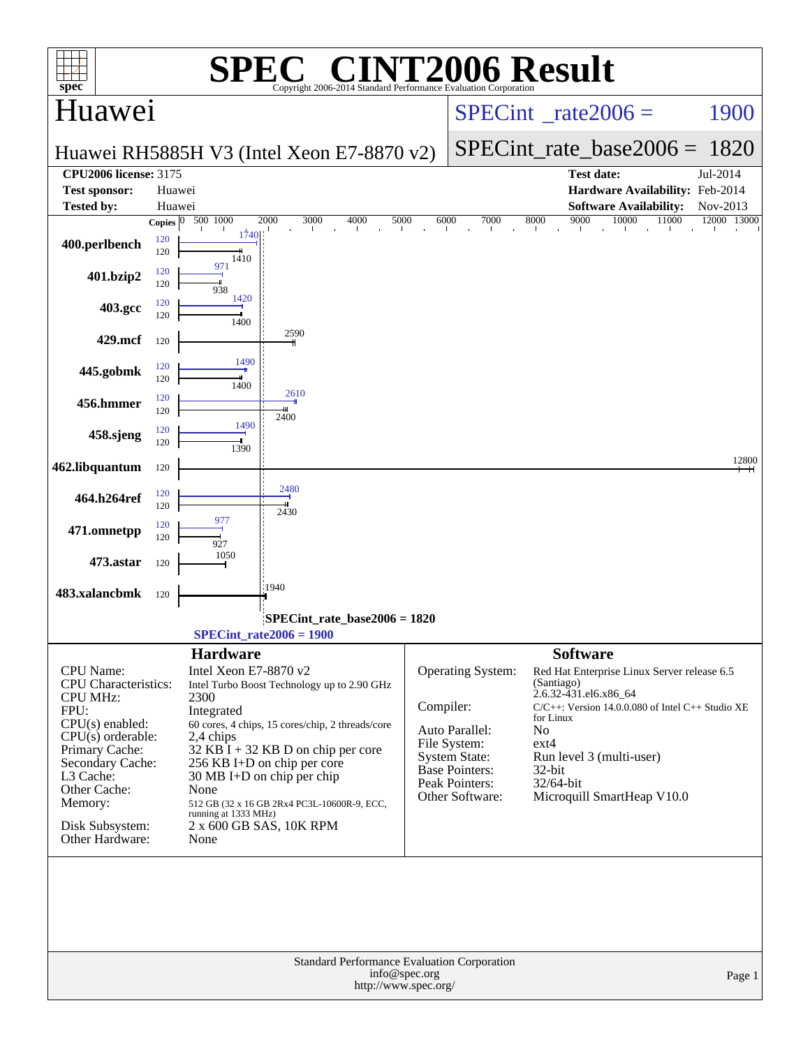| spec <sup>®</sup>                                                                                                                                                                                                                          |                                  |                                                                                                                     | $\bigcap$<br>Copyright 2006-2014 Standard Performance Evaluation Corporation                                                                                                                                                                                                             |                                       |                                                                                                                                                  | <b>NT2006 Result</b>                                                                                                                                                                                                                                                           |             |  |  |
|--------------------------------------------------------------------------------------------------------------------------------------------------------------------------------------------------------------------------------------------|----------------------------------|---------------------------------------------------------------------------------------------------------------------|------------------------------------------------------------------------------------------------------------------------------------------------------------------------------------------------------------------------------------------------------------------------------------------|---------------------------------------|--------------------------------------------------------------------------------------------------------------------------------------------------|--------------------------------------------------------------------------------------------------------------------------------------------------------------------------------------------------------------------------------------------------------------------------------|-------------|--|--|
| Huawei                                                                                                                                                                                                                                     |                                  |                                                                                                                     |                                                                                                                                                                                                                                                                                          | $SPECint^{\circ}$ rate 2006 =<br>1900 |                                                                                                                                                  |                                                                                                                                                                                                                                                                                |             |  |  |
|                                                                                                                                                                                                                                            |                                  |                                                                                                                     | Huawei RH5885H V3 (Intel Xeon E7-8870 v2)                                                                                                                                                                                                                                                | $SPECint_rate_base2006 =$<br>1820     |                                                                                                                                                  |                                                                                                                                                                                                                                                                                |             |  |  |
| <b>CPU2006 license: 3175</b>                                                                                                                                                                                                               |                                  |                                                                                                                     |                                                                                                                                                                                                                                                                                          |                                       |                                                                                                                                                  | <b>Test date:</b>                                                                                                                                                                                                                                                              | Jul-2014    |  |  |
| <b>Test sponsor:</b>                                                                                                                                                                                                                       |                                  | Huawei                                                                                                              |                                                                                                                                                                                                                                                                                          |                                       |                                                                                                                                                  | Hardware Availability: Feb-2014                                                                                                                                                                                                                                                |             |  |  |
| <b>Tested by:</b>                                                                                                                                                                                                                          |                                  | Huawei                                                                                                              |                                                                                                                                                                                                                                                                                          |                                       |                                                                                                                                                  | <b>Software Availability:</b>                                                                                                                                                                                                                                                  | Nov-2013    |  |  |
| 400.perlbench                                                                                                                                                                                                                              | Copies $\boxed{0}$<br>120<br>120 | 500 1000<br>1740<br>1410                                                                                            | 2000<br>3000<br>4000<br>5000                                                                                                                                                                                                                                                             | 6000                                  | 7000                                                                                                                                             | 9000<br>10000<br>11000<br>8000                                                                                                                                                                                                                                                 | 12000 13000 |  |  |
| 401.bzip2                                                                                                                                                                                                                                  | 120<br>120                       | 971<br>938                                                                                                          |                                                                                                                                                                                                                                                                                          |                                       |                                                                                                                                                  |                                                                                                                                                                                                                                                                                |             |  |  |
| 403.gcc                                                                                                                                                                                                                                    | 120<br>120                       | 1420<br>1400                                                                                                        |                                                                                                                                                                                                                                                                                          |                                       |                                                                                                                                                  |                                                                                                                                                                                                                                                                                |             |  |  |
| 429.mcf                                                                                                                                                                                                                                    | 120                              | 1490                                                                                                                | 2590                                                                                                                                                                                                                                                                                     |                                       |                                                                                                                                                  |                                                                                                                                                                                                                                                                                |             |  |  |
| 445.gobmk                                                                                                                                                                                                                                  | 120<br>120                       | 1400                                                                                                                | 2610                                                                                                                                                                                                                                                                                     |                                       |                                                                                                                                                  |                                                                                                                                                                                                                                                                                |             |  |  |
| 456.hmmer                                                                                                                                                                                                                                  | 120<br>120                       | 1490                                                                                                                | 2400                                                                                                                                                                                                                                                                                     |                                       |                                                                                                                                                  |                                                                                                                                                                                                                                                                                |             |  |  |
| 458.sjeng                                                                                                                                                                                                                                  | 120<br>120                       | 1390                                                                                                                |                                                                                                                                                                                                                                                                                          |                                       |                                                                                                                                                  |                                                                                                                                                                                                                                                                                | 12800       |  |  |
| 462.libquantum                                                                                                                                                                                                                             | 120                              |                                                                                                                     |                                                                                                                                                                                                                                                                                          |                                       |                                                                                                                                                  |                                                                                                                                                                                                                                                                                |             |  |  |
| 464.h264ref                                                                                                                                                                                                                                | 120<br>120                       |                                                                                                                     | 2480<br>2430                                                                                                                                                                                                                                                                             |                                       |                                                                                                                                                  |                                                                                                                                                                                                                                                                                |             |  |  |
| 471.omnetpp                                                                                                                                                                                                                                | 120<br>120                       | 977<br>927                                                                                                          |                                                                                                                                                                                                                                                                                          |                                       |                                                                                                                                                  |                                                                                                                                                                                                                                                                                |             |  |  |
| 473.astar                                                                                                                                                                                                                                  | 120                              | 1050                                                                                                                |                                                                                                                                                                                                                                                                                          |                                       |                                                                                                                                                  |                                                                                                                                                                                                                                                                                |             |  |  |
| 483.xalancbmk                                                                                                                                                                                                                              | 120                              |                                                                                                                     | 1940<br>SPECint rate base $2006 = 1820$                                                                                                                                                                                                                                                  |                                       |                                                                                                                                                  |                                                                                                                                                                                                                                                                                |             |  |  |
|                                                                                                                                                                                                                                            |                                  |                                                                                                                     | SPECint rate $2006 = 1900$                                                                                                                                                                                                                                                               |                                       |                                                                                                                                                  |                                                                                                                                                                                                                                                                                |             |  |  |
| <b>CPU</b> Name:<br><b>CPU</b> Characteristics:<br><b>CPU MHz:</b><br>FPU:<br>$CPU(s)$ enabled:<br>$CPU(s)$ orderable:<br>Primary Cache:<br>Secondary Cache:<br>L3 Cache:<br>Other Cache:<br>Memory:<br>Disk Subsystem:<br>Other Hardware: |                                  | <b>Hardware</b><br>Intel Xeon E7-8870 v2<br>2300<br>Integrated<br>2,4 chips<br>None<br>running at 1333 MHz)<br>None | Intel Turbo Boost Technology up to 2.90 GHz<br>60 cores, 4 chips, 15 cores/chip, 2 threads/core<br>$32$ KB I + 32 KB D on chip per core<br>256 KB I+D on chip per core<br>$30 \text{ MB I+D}$ on chip per chip<br>512 GB (32 x 16 GB 2Rx4 PC3L-10600R-9, ECC,<br>2 x 600 GB SAS, 10K RPM | Compiler:                             | <b>Operating System:</b><br>Auto Parallel:<br>File System:<br><b>System State:</b><br>Base Pointers:<br><b>Peak Pointers:</b><br>Other Software: | <b>Software</b><br>Red Hat Enterprise Linux Server release 6.5<br>(Santiago)<br>2.6.32-431.el6.x86_64<br>$C/C++$ : Version 14.0.0.080 of Intel $C++$ Studio XE<br>for Linux<br>No<br>$ext{4}$<br>Run level 3 (multi-user)<br>32-bit<br>32/64-bit<br>Microquill SmartHeap V10.0 |             |  |  |
|                                                                                                                                                                                                                                            |                                  |                                                                                                                     | Standard Performance Evaluation Corporation<br>http://www.spec.org/                                                                                                                                                                                                                      | info@spec.org                         |                                                                                                                                                  |                                                                                                                                                                                                                                                                                | Page 1      |  |  |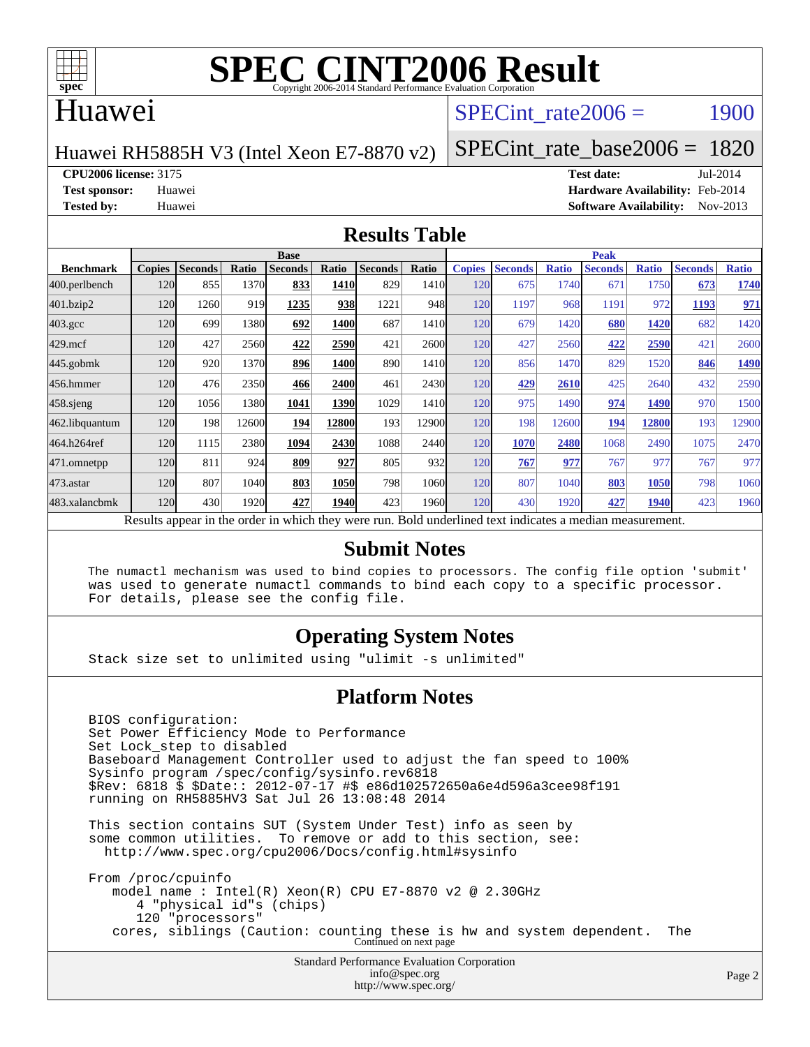

# **[SPEC CINT2006 Result](http://www.spec.org/auto/cpu2006/Docs/result-fields.html#SPECCINT2006Result)**

#### Huawei

#### SPECint rate $2006 = 1900$

Huawei RH5885H V3 (Intel Xeon E7-8870 v2)

[SPECint\\_rate\\_base2006 =](http://www.spec.org/auto/cpu2006/Docs/result-fields.html#SPECintratebase2006) 1820

**[CPU2006 license:](http://www.spec.org/auto/cpu2006/Docs/result-fields.html#CPU2006license)** 3175 **[Test date:](http://www.spec.org/auto/cpu2006/Docs/result-fields.html#Testdate)** Jul-2014

**[Test sponsor:](http://www.spec.org/auto/cpu2006/Docs/result-fields.html#Testsponsor)** Huawei **[Hardware Availability:](http://www.spec.org/auto/cpu2006/Docs/result-fields.html#HardwareAvailability)** Feb-2014 **[Tested by:](http://www.spec.org/auto/cpu2006/Docs/result-fields.html#Testedby)** Huawei **[Software Availability:](http://www.spec.org/auto/cpu2006/Docs/result-fields.html#SoftwareAvailability)** Nov-2013

#### **[Results Table](http://www.spec.org/auto/cpu2006/Docs/result-fields.html#ResultsTable)**

|                                                                                                          | <b>Base</b>   |                |       |                |             |                |       | <b>Peak</b>   |                |              |                |              |                |              |
|----------------------------------------------------------------------------------------------------------|---------------|----------------|-------|----------------|-------------|----------------|-------|---------------|----------------|--------------|----------------|--------------|----------------|--------------|
| <b>Benchmark</b>                                                                                         | <b>Copies</b> | <b>Seconds</b> | Ratio | <b>Seconds</b> | Ratio       | <b>Seconds</b> | Ratio | <b>Copies</b> | <b>Seconds</b> | <b>Ratio</b> | <b>Seconds</b> | <b>Ratio</b> | <b>Seconds</b> | <b>Ratio</b> |
| 400.perlbench                                                                                            | 120           | 855            | 1370  | 833            | <b>1410</b> | 829            | 1410  | 120           | 675            | 1740         | 671            | 1750         | 673            | 1740         |
| 401.bzip2                                                                                                | 120           | 1260           | 919   | 1235           | 938         | 1221           | 948   | 120           | 1197           | 968          | 1191           | 972          | 1193           | 971          |
| $403.\mathrm{gcc}$                                                                                       | 120           | 699            | 1380  | 692            | <b>1400</b> | 687            | 1410  | 120           | 679            | 1420         | 680            | 1420         | 682            | 1420         |
| $429$ .mcf                                                                                               | 120           | 427            | 2560  | 422            | 2590        | 421            | 2600  | 120           | 427            | 2560         | 422            | 2590         | 421            | 2600         |
| $445$ .gobmk                                                                                             | 120           | 920            | 1370  | 896            | 1400        | 890            | 1410  | 120           | 856            | 1470         | 829            | 1520         | 846            | 1490         |
| 456.hmmer                                                                                                | 120           | 476            | 2350  | 466            | 2400        | 461            | 2430  | 120           | 429            | 2610         | 425            | 2640         | 432            | 2590         |
| $458$ .sjeng                                                                                             | 120           | 1056           | 1380  | 1041           | 1390        | 1029           | 1410  | 120           | 975            | 1490         | 974            | 1490         | 970            | 1500         |
| 462.libquantum                                                                                           | 120           | 198            | 12600 | 194            | 12800       | 193            | 12900 | 120           | 198            | 12600        | 194            | 12800        | 193            | 12900        |
| 464.h264ref                                                                                              | 120           | 1115           | 2380  | 1094           | 2430        | 1088           | 2440  | 120           | 1070           | 2480         | 1068           | 2490         | 1075           | 2470         |
| 471.omnetpp                                                                                              | 120           | 811            | 924   | 809            | 927         | 805            | 932   | 120           | 767            | 977          | 767            | 977          | 767            | 977          |
| 473.astar                                                                                                | 120           | 807            | 1040  | 803            | 1050        | 798            | 1060  | 120           | 807            | 1040         | 803            | <b>1050</b>  | 798            | 1060         |
| 483.xalancbmk                                                                                            | 120           | 430            | 1920  | 427            | <b>1940</b> | 423            | 1960  | 120           | 430            | 1920         | 427            | 1940         | 423            | 1960         |
| Results appear in the order in which they were run. Bold underlined text indicates a median measurement. |               |                |       |                |             |                |       |               |                |              |                |              |                |              |

#### **[Submit Notes](http://www.spec.org/auto/cpu2006/Docs/result-fields.html#SubmitNotes)**

 The numactl mechanism was used to bind copies to processors. The config file option 'submit' was used to generate numactl commands to bind each copy to a specific processor. For details, please see the config file.

#### **[Operating System Notes](http://www.spec.org/auto/cpu2006/Docs/result-fields.html#OperatingSystemNotes)**

Stack size set to unlimited using "ulimit -s unlimited"

#### **[Platform Notes](http://www.spec.org/auto/cpu2006/Docs/result-fields.html#PlatformNotes)**

 BIOS configuration: Set Power Efficiency Mode to Performance Set Lock\_step to disabled Baseboard Management Controller used to adjust the fan speed to 100% Sysinfo program /spec/config/sysinfo.rev6818 \$Rev: 6818 \$ \$Date:: 2012-07-17 #\$ e86d102572650a6e4d596a3cee98f191 running on RH5885HV3 Sat Jul 26 13:08:48 2014 This section contains SUT (System Under Test) info as seen by

 some common utilities. To remove or add to this section, see: <http://www.spec.org/cpu2006/Docs/config.html#sysinfo>

 From /proc/cpuinfo model name : Intel(R) Xeon(R) CPU E7-8870 v2 @ 2.30GHz 4 "physical id"s (chips) 120 "processors" cores, siblings (Caution: counting these is hw and system dependent. The Continued on next page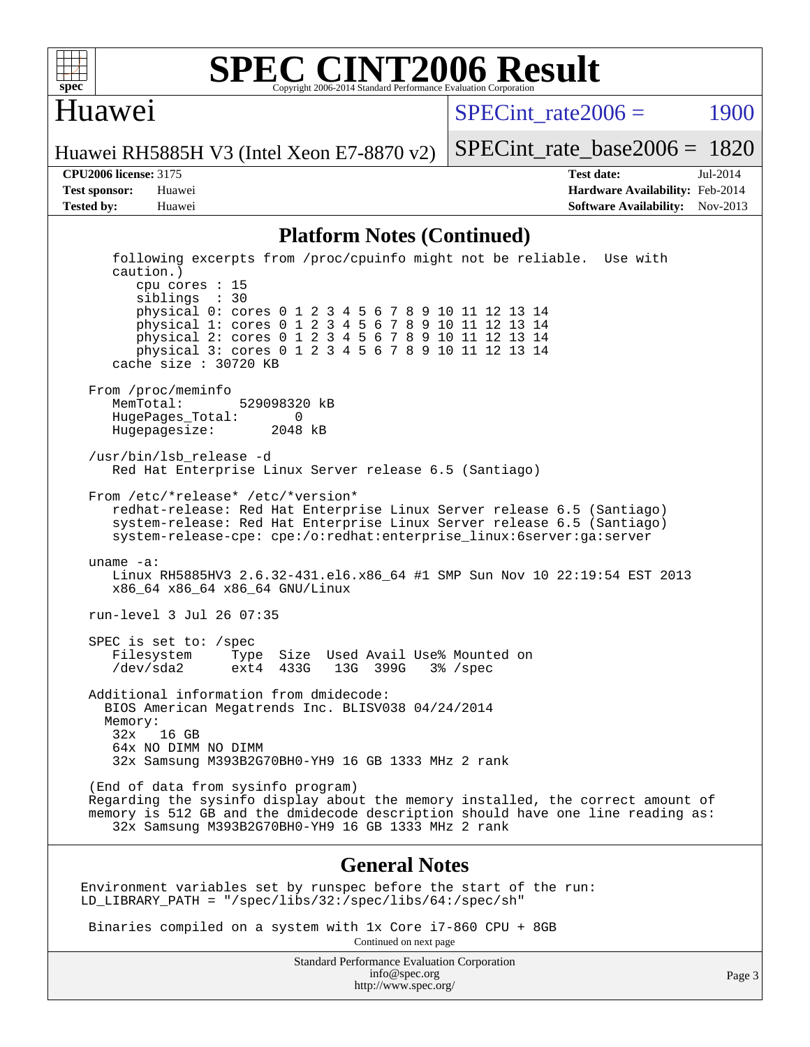

#### **[SPEC CINT2006 Result](http://www.spec.org/auto/cpu2006/Docs/result-fields.html#SPECCINT2006Result)** Copyright 2006-2014 Standard Performance Evaluation Corporation

#### Huawei

SPECint rate $2006 = 1900$ 

Huawei RH5885H V3 (Intel Xeon E7-8870 v2)

[SPECint\\_rate\\_base2006 =](http://www.spec.org/auto/cpu2006/Docs/result-fields.html#SPECintratebase2006) 1820

**[CPU2006 license:](http://www.spec.org/auto/cpu2006/Docs/result-fields.html#CPU2006license)** 3175 **[Test date:](http://www.spec.org/auto/cpu2006/Docs/result-fields.html#Testdate)** Jul-2014 **[Test sponsor:](http://www.spec.org/auto/cpu2006/Docs/result-fields.html#Testsponsor)** Huawei **[Hardware Availability:](http://www.spec.org/auto/cpu2006/Docs/result-fields.html#HardwareAvailability)** Feb-2014 **[Tested by:](http://www.spec.org/auto/cpu2006/Docs/result-fields.html#Testedby)** Huawei **[Software Availability:](http://www.spec.org/auto/cpu2006/Docs/result-fields.html#SoftwareAvailability)** Nov-2013

#### **[Platform Notes \(Continued\)](http://www.spec.org/auto/cpu2006/Docs/result-fields.html#PlatformNotes)**

 following excerpts from /proc/cpuinfo might not be reliable. Use with caution.) cpu cores : 15 siblings : 30 physical 0: cores 0 1 2 3 4 5 6 7 8 9 10 11 12 13 14 physical 1: cores 0 1 2 3 4 5 6 7 8 9 10 11 12 13 14 physical 2: cores 0 1 2 3 4 5 6 7 8 9 10 11 12 13 14 physical 3: cores 0 1 2 3 4 5 6 7 8 9 10 11 12 13 14 cache size : 30720 KB From /proc/meminfo<br>MemTotal: 529098320 kB HugePages\_Total: 0<br>Hugepagesize: 2048 kB Hugepagesize: /usr/bin/lsb\_release -d Red Hat Enterprise Linux Server release 6.5 (Santiago) From /etc/\*release\* /etc/\*version\* redhat-release: Red Hat Enterprise Linux Server release 6.5 (Santiago) system-release: Red Hat Enterprise Linux Server release 6.5 (Santiago) system-release-cpe: cpe:/o:redhat:enterprise\_linux:6server:ga:server uname -a: Linux RH5885HV3 2.6.32-431.el6.x86\_64 #1 SMP Sun Nov 10 22:19:54 EST 2013 x86\_64 x86\_64 x86\_64 GNU/Linux run-level 3 Jul 26 07:35 SPEC is set to: /spec Filesystem Type Size Used Avail Use% Mounted on 13G 399G 3% /spec Additional information from dmidecode: BIOS American Megatrends Inc. BLISV038 04/24/2014 Memory: 32x 16 GB 64x NO DIMM NO DIMM 32x Samsung M393B2G70BH0-YH9 16 GB 1333 MHz 2 rank (End of data from sysinfo program) Regarding the sysinfo display about the memory installed, the correct amount of memory is 512 GB and the dmidecode description should have one line reading as: 32x Samsung M393B2G70BH0-YH9 16 GB 1333 MHz 2 rank **[General Notes](http://www.spec.org/auto/cpu2006/Docs/result-fields.html#GeneralNotes)** Environment variables set by runspec before the start of the run: LD\_LIBRARY\_PATH = "/spec/libs/32:/spec/libs/64:/spec/sh"

Binaries compiled on a system with 1x Core i7-860 CPU + 8GB

Continued on next page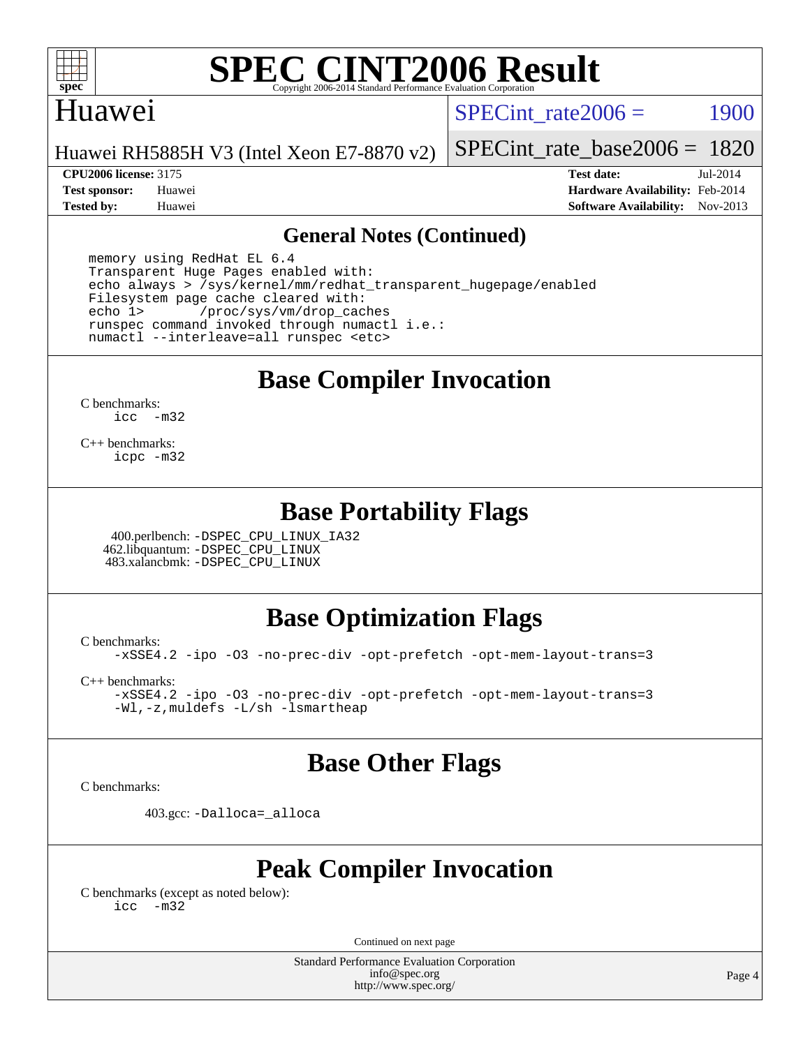

# **[SPEC CINT2006 Result](http://www.spec.org/auto/cpu2006/Docs/result-fields.html#SPECCINT2006Result)**

#### Huawei

SPECint rate $2006 = 1900$ 

Huawei RH5885H V3 (Intel Xeon E7-8870 v2)

**[CPU2006 license:](http://www.spec.org/auto/cpu2006/Docs/result-fields.html#CPU2006license)** 3175 **[Test date:](http://www.spec.org/auto/cpu2006/Docs/result-fields.html#Testdate)** Jul-2014

[SPECint\\_rate\\_base2006 =](http://www.spec.org/auto/cpu2006/Docs/result-fields.html#SPECintratebase2006) 1820

**[Test sponsor:](http://www.spec.org/auto/cpu2006/Docs/result-fields.html#Testsponsor)** Huawei **[Hardware Availability:](http://www.spec.org/auto/cpu2006/Docs/result-fields.html#HardwareAvailability)** Feb-2014 **[Tested by:](http://www.spec.org/auto/cpu2006/Docs/result-fields.html#Testedby)** Huawei **[Software Availability:](http://www.spec.org/auto/cpu2006/Docs/result-fields.html#SoftwareAvailability)** Nov-2013

#### **[General Notes \(Continued\)](http://www.spec.org/auto/cpu2006/Docs/result-fields.html#GeneralNotes)**

 memory using RedHat EL 6.4 Transparent Huge Pages enabled with: echo always > /sys/kernel/mm/redhat\_transparent\_hugepage/enabled Filesystem page cache cleared with:<br>echo 1> /proc/sys/vm/drop cac /proc/sys/vm/drop\_caches runspec command invoked through numactl i.e.: numactl --interleave=all runspec <etc>

## **[Base Compiler Invocation](http://www.spec.org/auto/cpu2006/Docs/result-fields.html#BaseCompilerInvocation)**

[C benchmarks](http://www.spec.org/auto/cpu2006/Docs/result-fields.html#Cbenchmarks): [icc -m32](http://www.spec.org/cpu2006/results/res2014q3/cpu2006-20140728-30650.flags.html#user_CCbase_intel_icc_5ff4a39e364c98233615fdd38438c6f2)

[C++ benchmarks:](http://www.spec.org/auto/cpu2006/Docs/result-fields.html#CXXbenchmarks) [icpc -m32](http://www.spec.org/cpu2006/results/res2014q3/cpu2006-20140728-30650.flags.html#user_CXXbase_intel_icpc_4e5a5ef1a53fd332b3c49e69c3330699)

#### **[Base Portability Flags](http://www.spec.org/auto/cpu2006/Docs/result-fields.html#BasePortabilityFlags)**

 400.perlbench: [-DSPEC\\_CPU\\_LINUX\\_IA32](http://www.spec.org/cpu2006/results/res2014q3/cpu2006-20140728-30650.flags.html#b400.perlbench_baseCPORTABILITY_DSPEC_CPU_LINUX_IA32) 462.libquantum: [-DSPEC\\_CPU\\_LINUX](http://www.spec.org/cpu2006/results/res2014q3/cpu2006-20140728-30650.flags.html#b462.libquantum_baseCPORTABILITY_DSPEC_CPU_LINUX) 483.xalancbmk: [-DSPEC\\_CPU\\_LINUX](http://www.spec.org/cpu2006/results/res2014q3/cpu2006-20140728-30650.flags.html#b483.xalancbmk_baseCXXPORTABILITY_DSPEC_CPU_LINUX)

### **[Base Optimization Flags](http://www.spec.org/auto/cpu2006/Docs/result-fields.html#BaseOptimizationFlags)**

[C benchmarks](http://www.spec.org/auto/cpu2006/Docs/result-fields.html#Cbenchmarks):

[-xSSE4.2](http://www.spec.org/cpu2006/results/res2014q3/cpu2006-20140728-30650.flags.html#user_CCbase_f-xSSE42_f91528193cf0b216347adb8b939d4107) [-ipo](http://www.spec.org/cpu2006/results/res2014q3/cpu2006-20140728-30650.flags.html#user_CCbase_f-ipo) [-O3](http://www.spec.org/cpu2006/results/res2014q3/cpu2006-20140728-30650.flags.html#user_CCbase_f-O3) [-no-prec-div](http://www.spec.org/cpu2006/results/res2014q3/cpu2006-20140728-30650.flags.html#user_CCbase_f-no-prec-div) [-opt-prefetch](http://www.spec.org/cpu2006/results/res2014q3/cpu2006-20140728-30650.flags.html#user_CCbase_f-opt-prefetch) [-opt-mem-layout-trans=3](http://www.spec.org/cpu2006/results/res2014q3/cpu2006-20140728-30650.flags.html#user_CCbase_f-opt-mem-layout-trans_a7b82ad4bd7abf52556d4961a2ae94d5)

[C++ benchmarks:](http://www.spec.org/auto/cpu2006/Docs/result-fields.html#CXXbenchmarks)

[-xSSE4.2](http://www.spec.org/cpu2006/results/res2014q3/cpu2006-20140728-30650.flags.html#user_CXXbase_f-xSSE42_f91528193cf0b216347adb8b939d4107) [-ipo](http://www.spec.org/cpu2006/results/res2014q3/cpu2006-20140728-30650.flags.html#user_CXXbase_f-ipo) [-O3](http://www.spec.org/cpu2006/results/res2014q3/cpu2006-20140728-30650.flags.html#user_CXXbase_f-O3) [-no-prec-div](http://www.spec.org/cpu2006/results/res2014q3/cpu2006-20140728-30650.flags.html#user_CXXbase_f-no-prec-div) [-opt-prefetch](http://www.spec.org/cpu2006/results/res2014q3/cpu2006-20140728-30650.flags.html#user_CXXbase_f-opt-prefetch) [-opt-mem-layout-trans=3](http://www.spec.org/cpu2006/results/res2014q3/cpu2006-20140728-30650.flags.html#user_CXXbase_f-opt-mem-layout-trans_a7b82ad4bd7abf52556d4961a2ae94d5) [-Wl,-z,muldefs](http://www.spec.org/cpu2006/results/res2014q3/cpu2006-20140728-30650.flags.html#user_CXXbase_link_force_multiple1_74079c344b956b9658436fd1b6dd3a8a) [-L/sh -lsmartheap](http://www.spec.org/cpu2006/results/res2014q3/cpu2006-20140728-30650.flags.html#user_CXXbase_SmartHeap_32f6c82aa1ed9c52345d30cf6e4a0499)

### **[Base Other Flags](http://www.spec.org/auto/cpu2006/Docs/result-fields.html#BaseOtherFlags)**

[C benchmarks](http://www.spec.org/auto/cpu2006/Docs/result-fields.html#Cbenchmarks):

403.gcc: [-Dalloca=\\_alloca](http://www.spec.org/cpu2006/results/res2014q3/cpu2006-20140728-30650.flags.html#b403.gcc_baseEXTRA_CFLAGS_Dalloca_be3056838c12de2578596ca5467af7f3)

# **[Peak Compiler Invocation](http://www.spec.org/auto/cpu2006/Docs/result-fields.html#PeakCompilerInvocation)**

[C benchmarks \(except as noted below\)](http://www.spec.org/auto/cpu2006/Docs/result-fields.html#Cbenchmarksexceptasnotedbelow): [icc -m32](http://www.spec.org/cpu2006/results/res2014q3/cpu2006-20140728-30650.flags.html#user_CCpeak_intel_icc_5ff4a39e364c98233615fdd38438c6f2)

Continued on next page

Standard Performance Evaluation Corporation [info@spec.org](mailto:info@spec.org) <http://www.spec.org/>

Page 4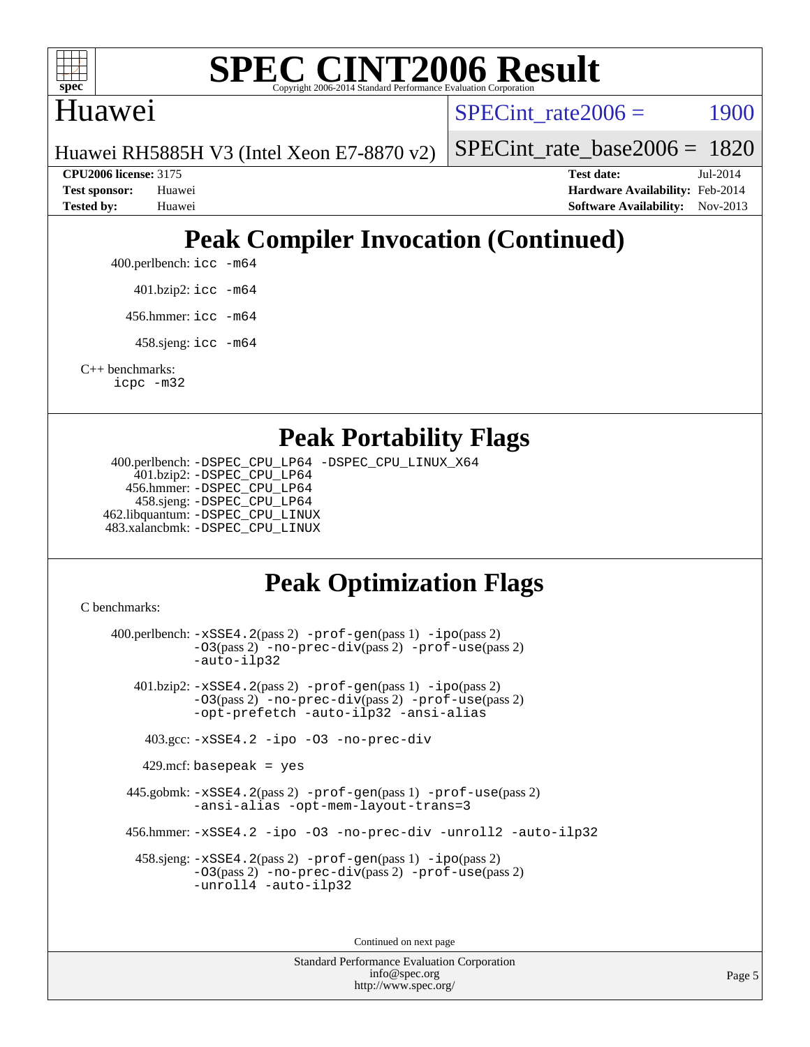

# **[SPEC CINT2006 Result](http://www.spec.org/auto/cpu2006/Docs/result-fields.html#SPECCINT2006Result)**

### Huawei

SPECint rate $2006 = 1900$ 

Huawei RH5885H V3 (Intel Xeon E7-8870 v2)

[SPECint\\_rate\\_base2006 =](http://www.spec.org/auto/cpu2006/Docs/result-fields.html#SPECintratebase2006) 1820

**[CPU2006 license:](http://www.spec.org/auto/cpu2006/Docs/result-fields.html#CPU2006license)** 3175 **[Test date:](http://www.spec.org/auto/cpu2006/Docs/result-fields.html#Testdate)** Jul-2014 **[Test sponsor:](http://www.spec.org/auto/cpu2006/Docs/result-fields.html#Testsponsor)** Huawei **[Hardware Availability:](http://www.spec.org/auto/cpu2006/Docs/result-fields.html#HardwareAvailability)** Feb-2014 **[Tested by:](http://www.spec.org/auto/cpu2006/Docs/result-fields.html#Testedby)** Huawei **[Software Availability:](http://www.spec.org/auto/cpu2006/Docs/result-fields.html#SoftwareAvailability)** Nov-2013

# **[Peak Compiler Invocation \(Continued\)](http://www.spec.org/auto/cpu2006/Docs/result-fields.html#PeakCompilerInvocation)**

400.perlbench: [icc -m64](http://www.spec.org/cpu2006/results/res2014q3/cpu2006-20140728-30650.flags.html#user_peakCCLD400_perlbench_intel_icc_64bit_bda6cc9af1fdbb0edc3795bac97ada53)

401.bzip2: [icc -m64](http://www.spec.org/cpu2006/results/res2014q3/cpu2006-20140728-30650.flags.html#user_peakCCLD401_bzip2_intel_icc_64bit_bda6cc9af1fdbb0edc3795bac97ada53)

456.hmmer: [icc -m64](http://www.spec.org/cpu2006/results/res2014q3/cpu2006-20140728-30650.flags.html#user_peakCCLD456_hmmer_intel_icc_64bit_bda6cc9af1fdbb0edc3795bac97ada53)

458.sjeng: [icc -m64](http://www.spec.org/cpu2006/results/res2014q3/cpu2006-20140728-30650.flags.html#user_peakCCLD458_sjeng_intel_icc_64bit_bda6cc9af1fdbb0edc3795bac97ada53)

[C++ benchmarks:](http://www.spec.org/auto/cpu2006/Docs/result-fields.html#CXXbenchmarks) [icpc -m32](http://www.spec.org/cpu2006/results/res2014q3/cpu2006-20140728-30650.flags.html#user_CXXpeak_intel_icpc_4e5a5ef1a53fd332b3c49e69c3330699)

#### **[Peak Portability Flags](http://www.spec.org/auto/cpu2006/Docs/result-fields.html#PeakPortabilityFlags)**

 400.perlbench: [-DSPEC\\_CPU\\_LP64](http://www.spec.org/cpu2006/results/res2014q3/cpu2006-20140728-30650.flags.html#b400.perlbench_peakCPORTABILITY_DSPEC_CPU_LP64) [-DSPEC\\_CPU\\_LINUX\\_X64](http://www.spec.org/cpu2006/results/res2014q3/cpu2006-20140728-30650.flags.html#b400.perlbench_peakCPORTABILITY_DSPEC_CPU_LINUX_X64) 401.bzip2: [-DSPEC\\_CPU\\_LP64](http://www.spec.org/cpu2006/results/res2014q3/cpu2006-20140728-30650.flags.html#suite_peakCPORTABILITY401_bzip2_DSPEC_CPU_LP64) 456.hmmer: [-DSPEC\\_CPU\\_LP64](http://www.spec.org/cpu2006/results/res2014q3/cpu2006-20140728-30650.flags.html#suite_peakCPORTABILITY456_hmmer_DSPEC_CPU_LP64) 458.sjeng: [-DSPEC\\_CPU\\_LP64](http://www.spec.org/cpu2006/results/res2014q3/cpu2006-20140728-30650.flags.html#suite_peakCPORTABILITY458_sjeng_DSPEC_CPU_LP64) 462.libquantum: [-DSPEC\\_CPU\\_LINUX](http://www.spec.org/cpu2006/results/res2014q3/cpu2006-20140728-30650.flags.html#b462.libquantum_peakCPORTABILITY_DSPEC_CPU_LINUX) 483.xalancbmk: [-DSPEC\\_CPU\\_LINUX](http://www.spec.org/cpu2006/results/res2014q3/cpu2006-20140728-30650.flags.html#b483.xalancbmk_peakCXXPORTABILITY_DSPEC_CPU_LINUX)

# **[Peak Optimization Flags](http://www.spec.org/auto/cpu2006/Docs/result-fields.html#PeakOptimizationFlags)**

[C benchmarks](http://www.spec.org/auto/cpu2006/Docs/result-fields.html#Cbenchmarks):

 400.perlbench: [-xSSE4.2](http://www.spec.org/cpu2006/results/res2014q3/cpu2006-20140728-30650.flags.html#user_peakPASS2_CFLAGSPASS2_LDCFLAGS400_perlbench_f-xSSE42_f91528193cf0b216347adb8b939d4107)(pass 2) [-prof-gen](http://www.spec.org/cpu2006/results/res2014q3/cpu2006-20140728-30650.flags.html#user_peakPASS1_CFLAGSPASS1_LDCFLAGS400_perlbench_prof_gen_e43856698f6ca7b7e442dfd80e94a8fc)(pass 1) [-ipo](http://www.spec.org/cpu2006/results/res2014q3/cpu2006-20140728-30650.flags.html#user_peakPASS2_CFLAGSPASS2_LDCFLAGS400_perlbench_f-ipo)(pass 2) [-O3](http://www.spec.org/cpu2006/results/res2014q3/cpu2006-20140728-30650.flags.html#user_peakPASS2_CFLAGSPASS2_LDCFLAGS400_perlbench_f-O3)(pass 2) [-no-prec-div](http://www.spec.org/cpu2006/results/res2014q3/cpu2006-20140728-30650.flags.html#user_peakPASS2_CFLAGSPASS2_LDCFLAGS400_perlbench_f-no-prec-div)(pass 2) [-prof-use](http://www.spec.org/cpu2006/results/res2014q3/cpu2006-20140728-30650.flags.html#user_peakPASS2_CFLAGSPASS2_LDCFLAGS400_perlbench_prof_use_bccf7792157ff70d64e32fe3e1250b55)(pass 2) [-auto-ilp32](http://www.spec.org/cpu2006/results/res2014q3/cpu2006-20140728-30650.flags.html#user_peakCOPTIMIZE400_perlbench_f-auto-ilp32) 401.bzip2: [-xSSE4.2](http://www.spec.org/cpu2006/results/res2014q3/cpu2006-20140728-30650.flags.html#user_peakPASS2_CFLAGSPASS2_LDCFLAGS401_bzip2_f-xSSE42_f91528193cf0b216347adb8b939d4107)(pass 2) [-prof-gen](http://www.spec.org/cpu2006/results/res2014q3/cpu2006-20140728-30650.flags.html#user_peakPASS1_CFLAGSPASS1_LDCFLAGS401_bzip2_prof_gen_e43856698f6ca7b7e442dfd80e94a8fc)(pass 1) [-ipo](http://www.spec.org/cpu2006/results/res2014q3/cpu2006-20140728-30650.flags.html#user_peakPASS2_CFLAGSPASS2_LDCFLAGS401_bzip2_f-ipo)(pass 2) [-O3](http://www.spec.org/cpu2006/results/res2014q3/cpu2006-20140728-30650.flags.html#user_peakPASS2_CFLAGSPASS2_LDCFLAGS401_bzip2_f-O3)(pass 2) [-no-prec-div](http://www.spec.org/cpu2006/results/res2014q3/cpu2006-20140728-30650.flags.html#user_peakPASS2_CFLAGSPASS2_LDCFLAGS401_bzip2_f-no-prec-div)(pass 2) [-prof-use](http://www.spec.org/cpu2006/results/res2014q3/cpu2006-20140728-30650.flags.html#user_peakPASS2_CFLAGSPASS2_LDCFLAGS401_bzip2_prof_use_bccf7792157ff70d64e32fe3e1250b55)(pass 2) [-opt-prefetch](http://www.spec.org/cpu2006/results/res2014q3/cpu2006-20140728-30650.flags.html#user_peakCOPTIMIZE401_bzip2_f-opt-prefetch) [-auto-ilp32](http://www.spec.org/cpu2006/results/res2014q3/cpu2006-20140728-30650.flags.html#user_peakCOPTIMIZE401_bzip2_f-auto-ilp32) [-ansi-alias](http://www.spec.org/cpu2006/results/res2014q3/cpu2006-20140728-30650.flags.html#user_peakCOPTIMIZE401_bzip2_f-ansi-alias) 403.gcc: [-xSSE4.2](http://www.spec.org/cpu2006/results/res2014q3/cpu2006-20140728-30650.flags.html#user_peakCOPTIMIZE403_gcc_f-xSSE42_f91528193cf0b216347adb8b939d4107) [-ipo](http://www.spec.org/cpu2006/results/res2014q3/cpu2006-20140728-30650.flags.html#user_peakCOPTIMIZE403_gcc_f-ipo) [-O3](http://www.spec.org/cpu2006/results/res2014q3/cpu2006-20140728-30650.flags.html#user_peakCOPTIMIZE403_gcc_f-O3) [-no-prec-div](http://www.spec.org/cpu2006/results/res2014q3/cpu2006-20140728-30650.flags.html#user_peakCOPTIMIZE403_gcc_f-no-prec-div) 429.mcf: basepeak = yes 445.gobmk: [-xSSE4.2](http://www.spec.org/cpu2006/results/res2014q3/cpu2006-20140728-30650.flags.html#user_peakPASS2_CFLAGSPASS2_LDCFLAGS445_gobmk_f-xSSE42_f91528193cf0b216347adb8b939d4107)(pass 2) [-prof-gen](http://www.spec.org/cpu2006/results/res2014q3/cpu2006-20140728-30650.flags.html#user_peakPASS1_CFLAGSPASS1_LDCFLAGS445_gobmk_prof_gen_e43856698f6ca7b7e442dfd80e94a8fc)(pass 1) [-prof-use](http://www.spec.org/cpu2006/results/res2014q3/cpu2006-20140728-30650.flags.html#user_peakPASS2_CFLAGSPASS2_LDCFLAGS445_gobmk_prof_use_bccf7792157ff70d64e32fe3e1250b55)(pass 2) [-ansi-alias](http://www.spec.org/cpu2006/results/res2014q3/cpu2006-20140728-30650.flags.html#user_peakCOPTIMIZE445_gobmk_f-ansi-alias) [-opt-mem-layout-trans=3](http://www.spec.org/cpu2006/results/res2014q3/cpu2006-20140728-30650.flags.html#user_peakCOPTIMIZE445_gobmk_f-opt-mem-layout-trans_a7b82ad4bd7abf52556d4961a2ae94d5) 456.hmmer: [-xSSE4.2](http://www.spec.org/cpu2006/results/res2014q3/cpu2006-20140728-30650.flags.html#user_peakCOPTIMIZE456_hmmer_f-xSSE42_f91528193cf0b216347adb8b939d4107) [-ipo](http://www.spec.org/cpu2006/results/res2014q3/cpu2006-20140728-30650.flags.html#user_peakCOPTIMIZE456_hmmer_f-ipo) [-O3](http://www.spec.org/cpu2006/results/res2014q3/cpu2006-20140728-30650.flags.html#user_peakCOPTIMIZE456_hmmer_f-O3) [-no-prec-div](http://www.spec.org/cpu2006/results/res2014q3/cpu2006-20140728-30650.flags.html#user_peakCOPTIMIZE456_hmmer_f-no-prec-div) [-unroll2](http://www.spec.org/cpu2006/results/res2014q3/cpu2006-20140728-30650.flags.html#user_peakCOPTIMIZE456_hmmer_f-unroll_784dae83bebfb236979b41d2422d7ec2) [-auto-ilp32](http://www.spec.org/cpu2006/results/res2014q3/cpu2006-20140728-30650.flags.html#user_peakCOPTIMIZE456_hmmer_f-auto-ilp32) 458.sjeng: [-xSSE4.2](http://www.spec.org/cpu2006/results/res2014q3/cpu2006-20140728-30650.flags.html#user_peakPASS2_CFLAGSPASS2_LDCFLAGS458_sjeng_f-xSSE42_f91528193cf0b216347adb8b939d4107)(pass 2) [-prof-gen](http://www.spec.org/cpu2006/results/res2014q3/cpu2006-20140728-30650.flags.html#user_peakPASS1_CFLAGSPASS1_LDCFLAGS458_sjeng_prof_gen_e43856698f6ca7b7e442dfd80e94a8fc)(pass 1) [-ipo](http://www.spec.org/cpu2006/results/res2014q3/cpu2006-20140728-30650.flags.html#user_peakPASS2_CFLAGSPASS2_LDCFLAGS458_sjeng_f-ipo)(pass 2) [-O3](http://www.spec.org/cpu2006/results/res2014q3/cpu2006-20140728-30650.flags.html#user_peakPASS2_CFLAGSPASS2_LDCFLAGS458_sjeng_f-O3)(pass 2) [-no-prec-div](http://www.spec.org/cpu2006/results/res2014q3/cpu2006-20140728-30650.flags.html#user_peakPASS2_CFLAGSPASS2_LDCFLAGS458_sjeng_f-no-prec-div)(pass 2) [-prof-use](http://www.spec.org/cpu2006/results/res2014q3/cpu2006-20140728-30650.flags.html#user_peakPASS2_CFLAGSPASS2_LDCFLAGS458_sjeng_prof_use_bccf7792157ff70d64e32fe3e1250b55)(pass 2) [-unroll4](http://www.spec.org/cpu2006/results/res2014q3/cpu2006-20140728-30650.flags.html#user_peakCOPTIMIZE458_sjeng_f-unroll_4e5e4ed65b7fd20bdcd365bec371b81f) [-auto-ilp32](http://www.spec.org/cpu2006/results/res2014q3/cpu2006-20140728-30650.flags.html#user_peakCOPTIMIZE458_sjeng_f-auto-ilp32) Continued on next page